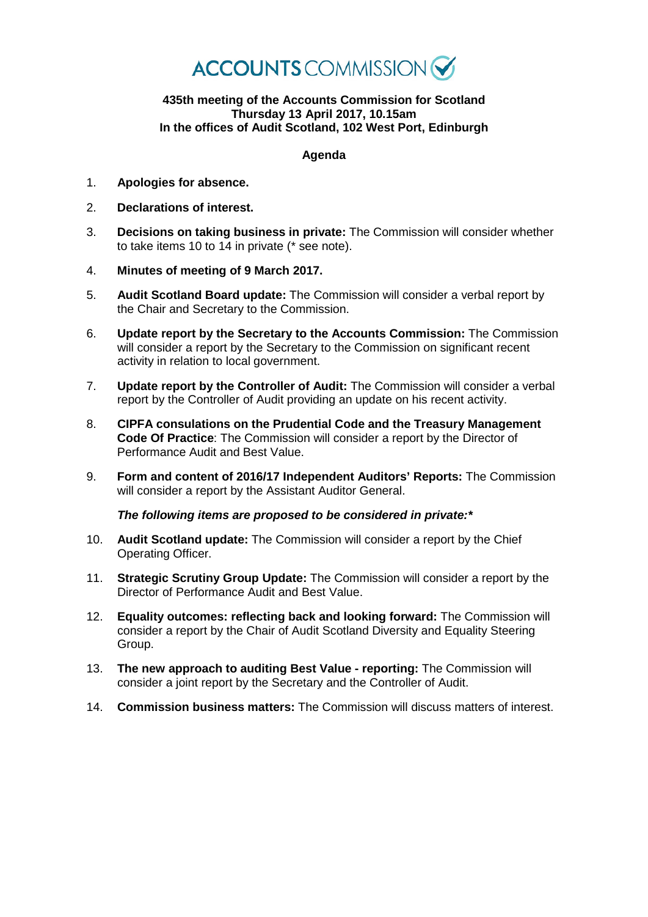

## **435th meeting of the Accounts Commission for Scotland Thursday 13 April 2017, 10.15am In the offices of Audit Scotland, 102 West Port, Edinburgh**

## **Agenda**

- 1. **Apologies for absence.**
- 2. **Declarations of interest.**
- 3. **Decisions on taking business in private:** The Commission will consider whether to take items 10 to 14 in private (\* see note).
- 4. **Minutes of meeting of 9 March 2017.**
- 5. **Audit Scotland Board update:** The Commission will consider a verbal report by the Chair and Secretary to the Commission.
- 6. **Update report by the Secretary to the Accounts Commission:** The Commission will consider a report by the Secretary to the Commission on significant recent activity in relation to local government.
- 7. **Update report by the Controller of Audit:** The Commission will consider a verbal report by the Controller of Audit providing an update on his recent activity.
- 8. **CIPFA consulations on the Prudential Code and the Treasury Management Code Of Practice**: The Commission will consider a report by the Director of Performance Audit and Best Value.
- 9. **Form and content of 2016/17 Independent Auditors' Reports:** The Commission will consider a report by the Assistant Auditor General.

*The following items are proposed to be considered in private:\**

- 10. **Audit Scotland update:** The Commission will consider a report by the Chief Operating Officer.
- 11. **Strategic Scrutiny Group Update:** The Commission will consider a report by the Director of Performance Audit and Best Value.
- 12. **Equality outcomes: reflecting back and looking forward:** The Commission will consider a report by the Chair of Audit Scotland Diversity and Equality Steering Group.
- 13. **The new approach to auditing Best Value - reporting:** The Commission will consider a joint report by the Secretary and the Controller of Audit.
- 14. **Commission business matters:** The Commission will discuss matters of interest.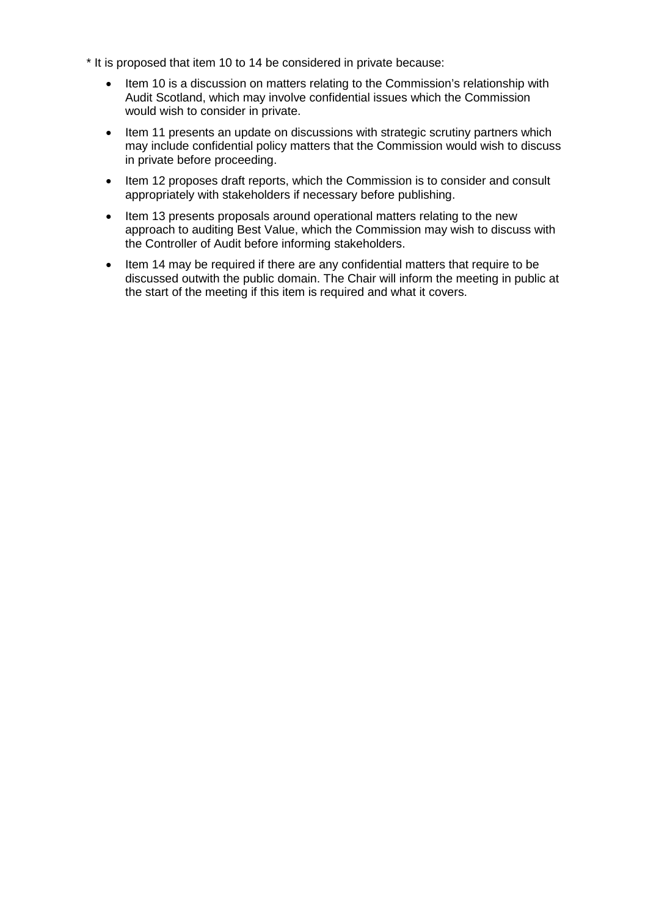- \* It is proposed that item 10 to 14 be considered in private because:
	- Item 10 is a discussion on matters relating to the Commission's relationship with Audit Scotland, which may involve confidential issues which the Commission would wish to consider in private.
	- Item 11 presents an update on discussions with strategic scrutiny partners which may include confidential policy matters that the Commission would wish to discuss in private before proceeding.
	- Item 12 proposes draft reports, which the Commission is to consider and consult appropriately with stakeholders if necessary before publishing.
	- Item 13 presents proposals around operational matters relating to the new approach to auditing Best Value, which the Commission may wish to discuss with the Controller of Audit before informing stakeholders.
	- Item 14 may be required if there are any confidential matters that require to be discussed outwith the public domain. The Chair will inform the meeting in public at the start of the meeting if this item is required and what it covers.